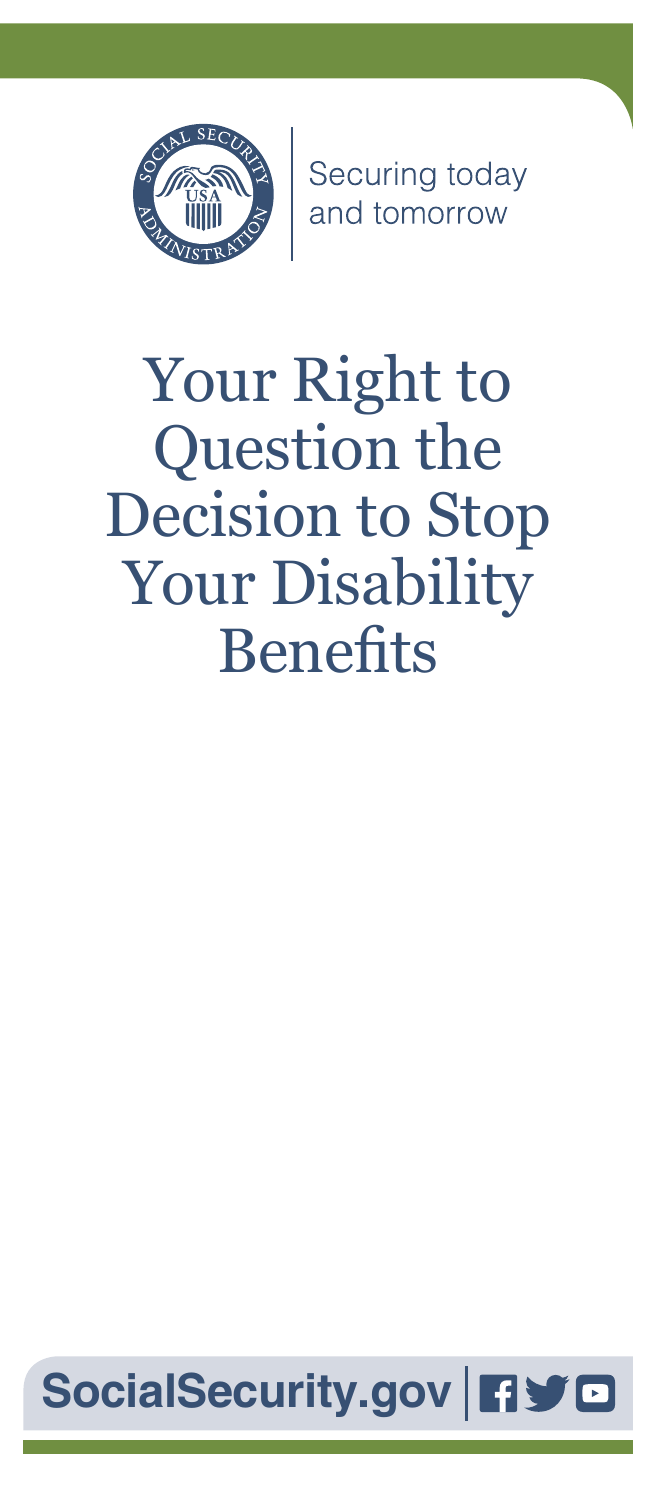

Securing today<br>and tomorrow

# Your Right to Question the Decision to Stop Your Disability **Benefits**

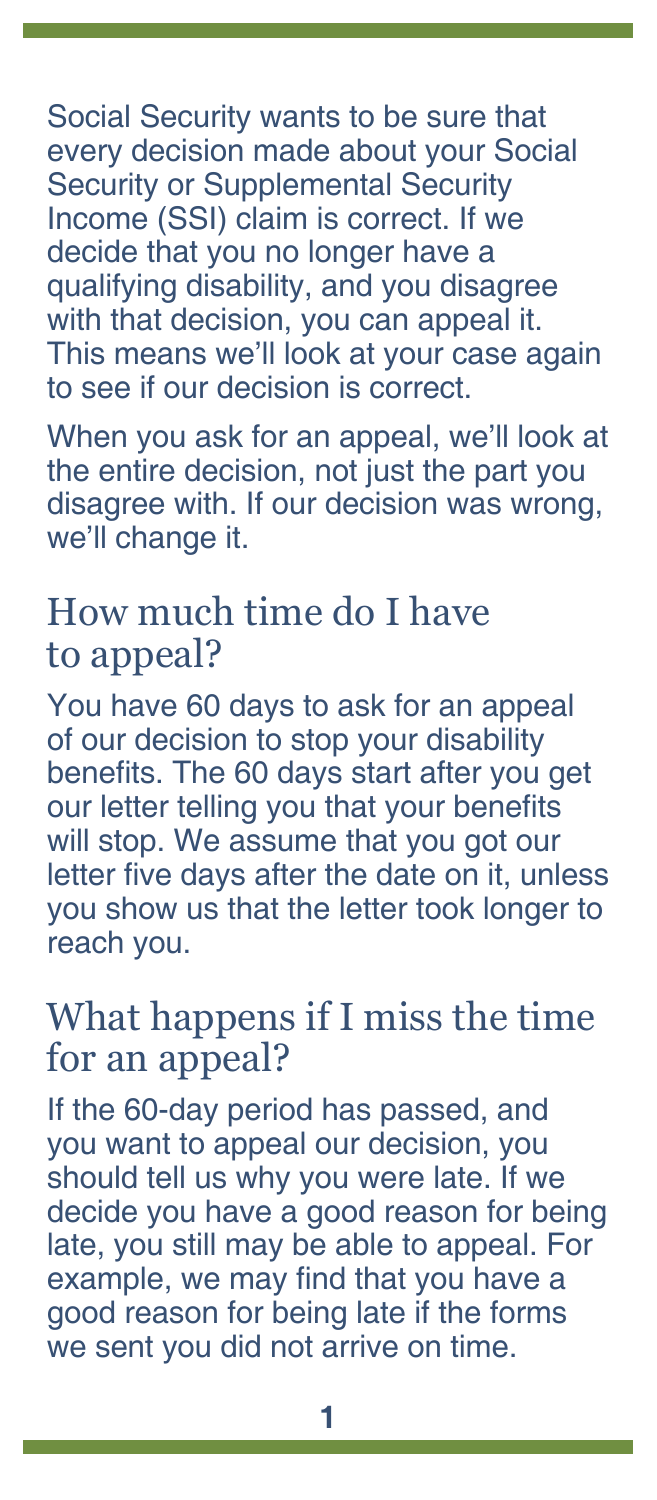Social Security wants to be sure that every decision made about your Social Security or Supplemental Security Income (SSI) claim is correct. If we decide that you no longer have a qualifying disability, and you disagree with that decision, you can appeal it. This means we'll look at your case again to see if our decision is correct.

When you ask for an appeal, we'll look at the entire decision, not just the part you disagree with. If our decision was wrong, we'll change it.

# How much time do I have to appeal?

You have 60 days to ask for an appeal of our decision to stop your disability benefits. The 60 days start after you get our letter telling you that your benefits will stop. We assume that you got our letter five days after the date on it, unless you show us that the letter took longer to reach you.

# What happens if I miss the time for an appeal?

If the 60-day period has passed, and you want to appeal our decision, you should tell us why you were late. If we decide you have a good reason for being late, you still may be able to appeal. For example, we may find that you have a good reason for being late if the forms we sent you did not arrive on time.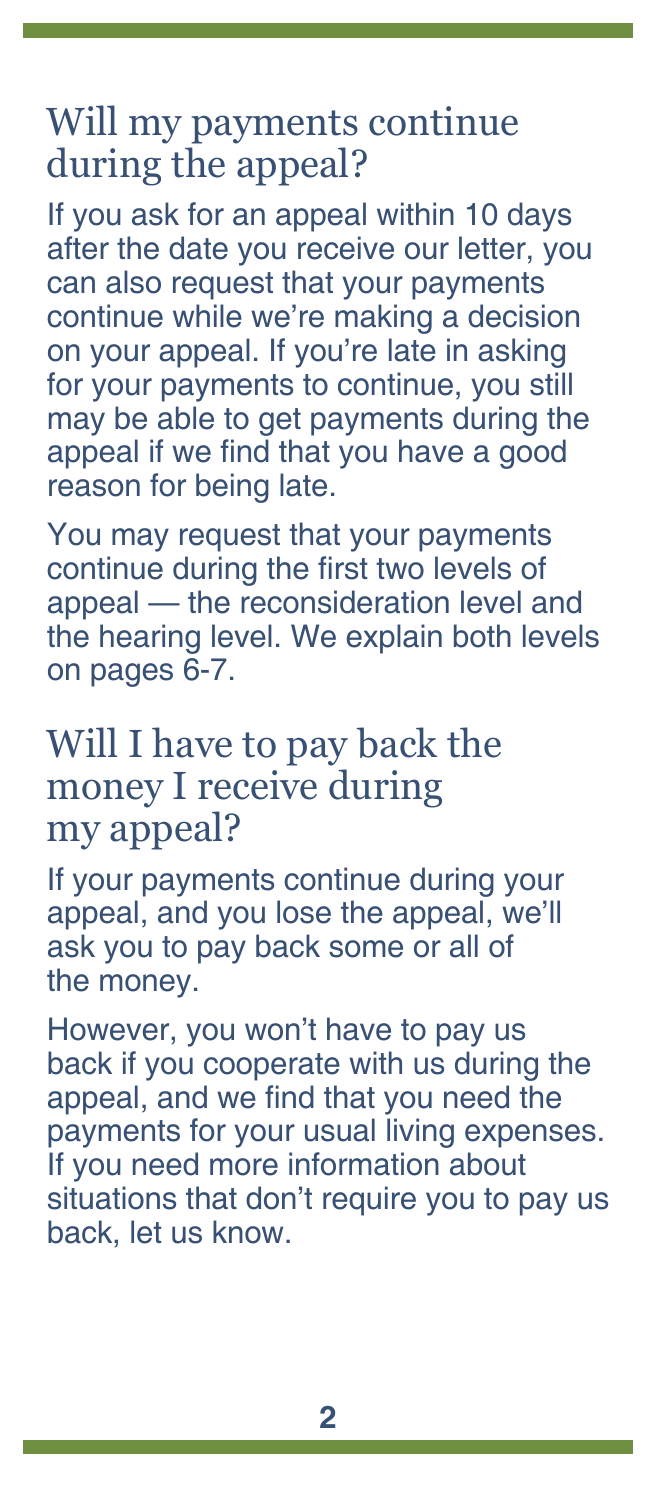# Will my payments continue during the appeal?

If you ask for an appeal within 10 days after the date you receive our letter, you can also request that your payments continue while we're making a decision on your appeal. If you're late in asking for your payments to continue, you still may be able to get payments during the appeal if we find that you have a good reason for being late.

You may request that your payments continue during the first two levels of appeal — the reconsideration level and the hearing level. We explain both levels on pages [6-](#page-6-0)7.

## Will I have to pay back the money I receive during my appeal?

If your payments continue during your appeal, and you lose the appeal, we'll ask you to pay back some or all of the money.

However, you won't have to pay us back if you cooperate with us during the appeal, and we find that you need the payments for your usual living expenses. If you need more information about situations that don't require you to pay us back, let us know.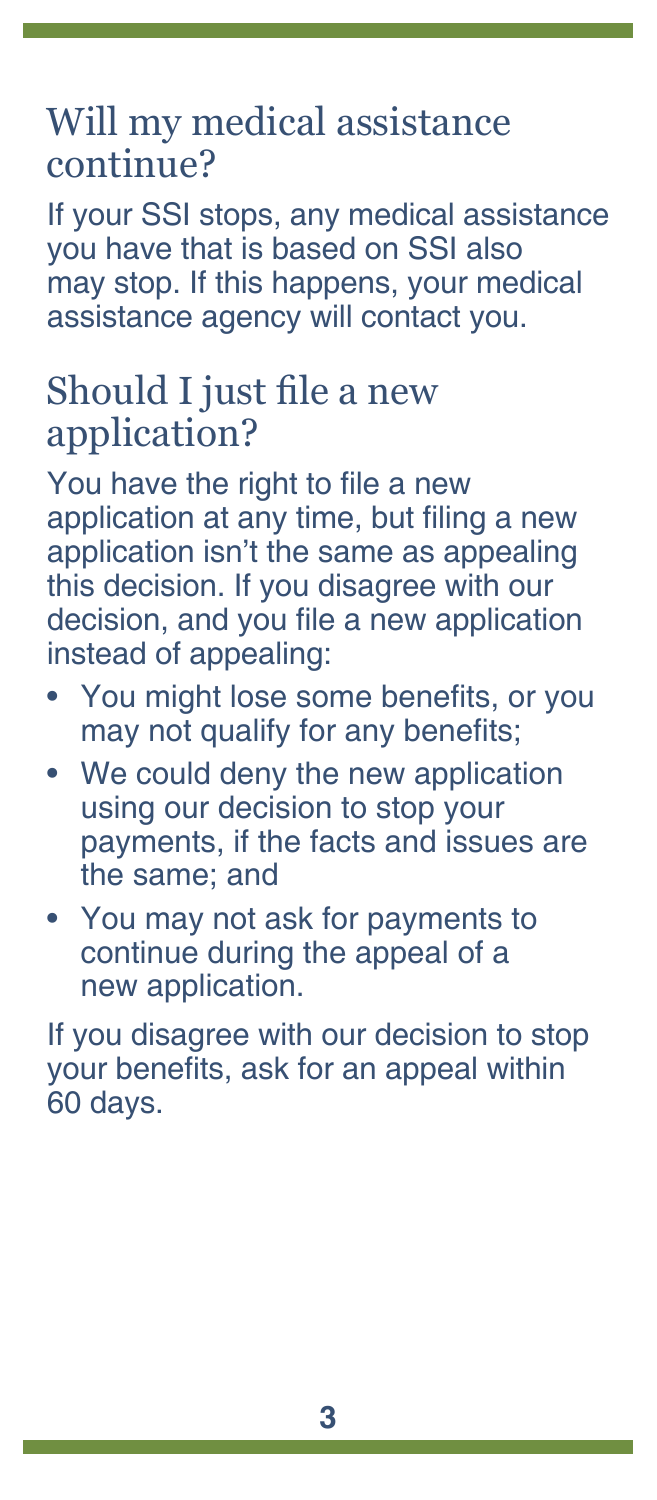# Will my medical assistance continue?

If your SSI stops, any medical assistance you have that is based on SSI also may stop. If this happens, your medical assistance agency will contact you.

# Should I just file a new application?

You have the right to file a new application at any time, but filing a new application isn't the same as appealing this decision. If you disagree with our decision, and you file a new application instead of appealing:

- You might lose some benefits, or you may not qualify for any benefits;
- We could deny the new application using our decision to stop your payments, if the facts and issues are the same; and
- You may not ask for payments to continue during the appeal of a new application.

If you disagree with our decision to stop your benefits, ask for an appeal within 60 days.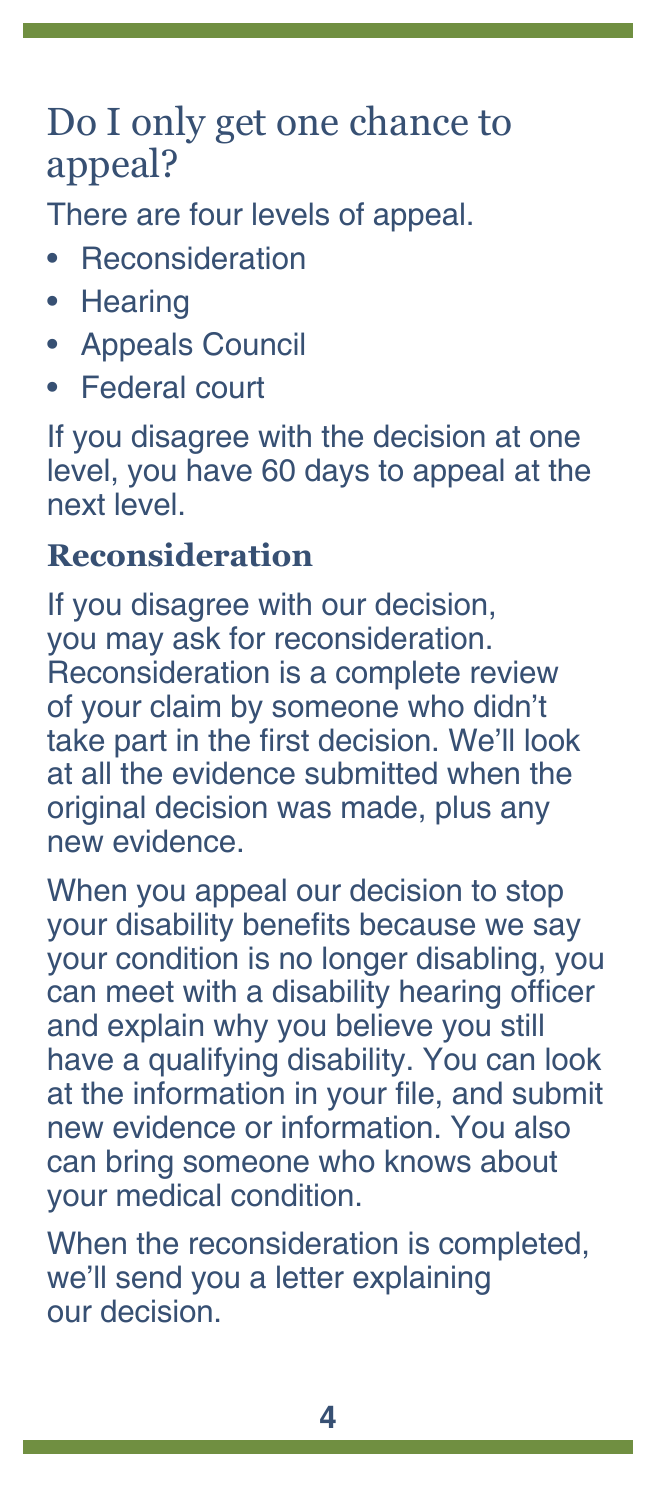# Do I only get one chance to appeal?

There are four levels of appeal.

- **Beconsideration**
- Hearing
- Appeals Council
- Federal court

If you disagree with the decision at one level, you have 60 days to appeal at the next level.

### **Reconsideration**

If you disagree with our decision, you may ask for reconsideration. Reconsideration is a complete review of your claim by someone who didn't take part in the first decision. We'll look at all the evidence submitted when the original decision was made, plus any new evidence.

When you appeal our decision to stop your disability benefits because we say your condition is no longer disabling, you can meet with a disability hearing officer and explain why you believe you still have a qualifying disability. You can look at the information in your file, and submit new evidence or information. You also can bring someone who knows about your medical condition.

When the reconsideration is completed, we'll send you a letter explaining our decision.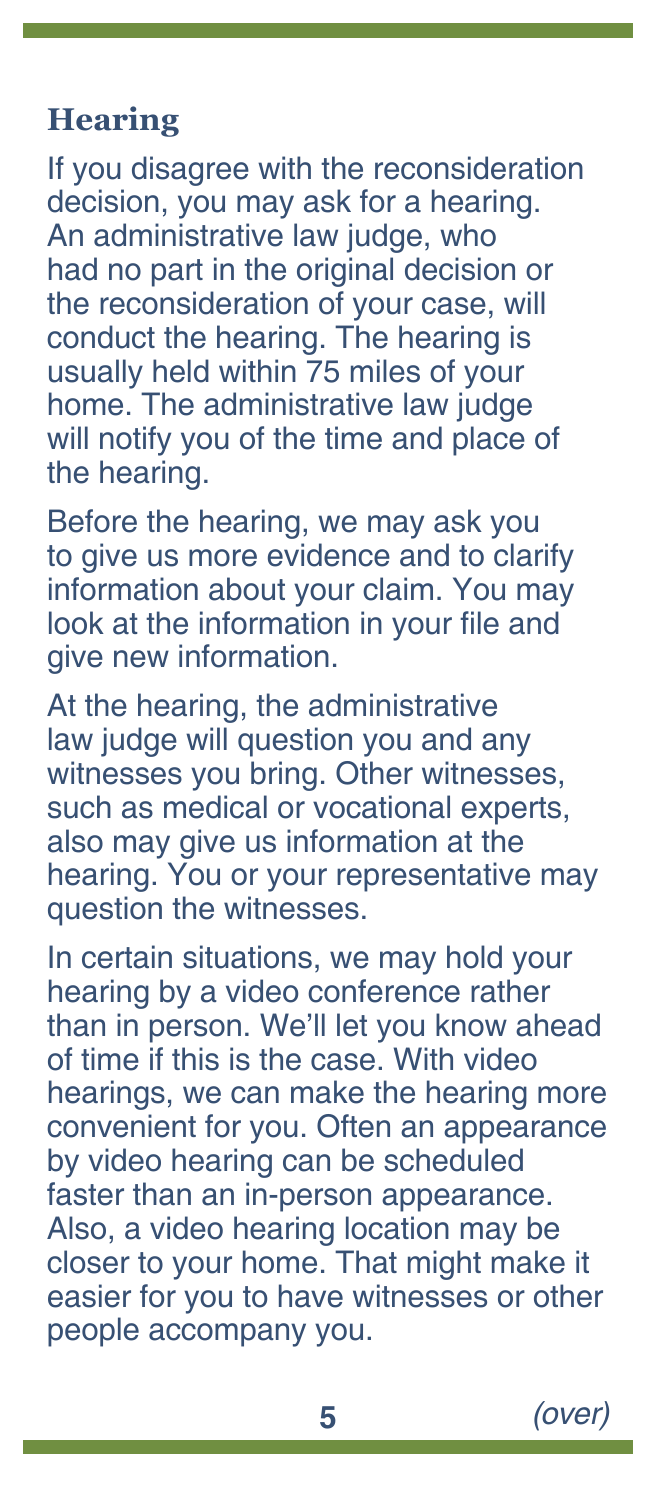#### **Hearing**

If you disagree with the reconsideration decision, you may ask for a hearing. An administrative law judge, who had no part in the original decision or the reconsideration of your case, will conduct the hearing. The hearing is usually held within 75 miles of your home. The administrative law judge will notify you of the time and place of the hearing.

Before the hearing, we may ask you to give us more evidence and to clarify information about your claim. You may look at the information in your file and give new information.

At the hearing, the administrative law judge will question you and any witnesses you bring. Other witnesses, such as medical or vocational experts, also may give us information at the hearing. You or your representative may question the witnesses.

In certain situations, we may hold your hearing by a video conference rather than in person. We'll let you know ahead of time if this is the case. With video hearings, we can make the hearing more convenient for you. Often an appearance by video hearing can be scheduled faster than an in-person appearance. Also, a video hearing location may be closer to your home. That might make it easier for you to have witnesses or other people accompany you.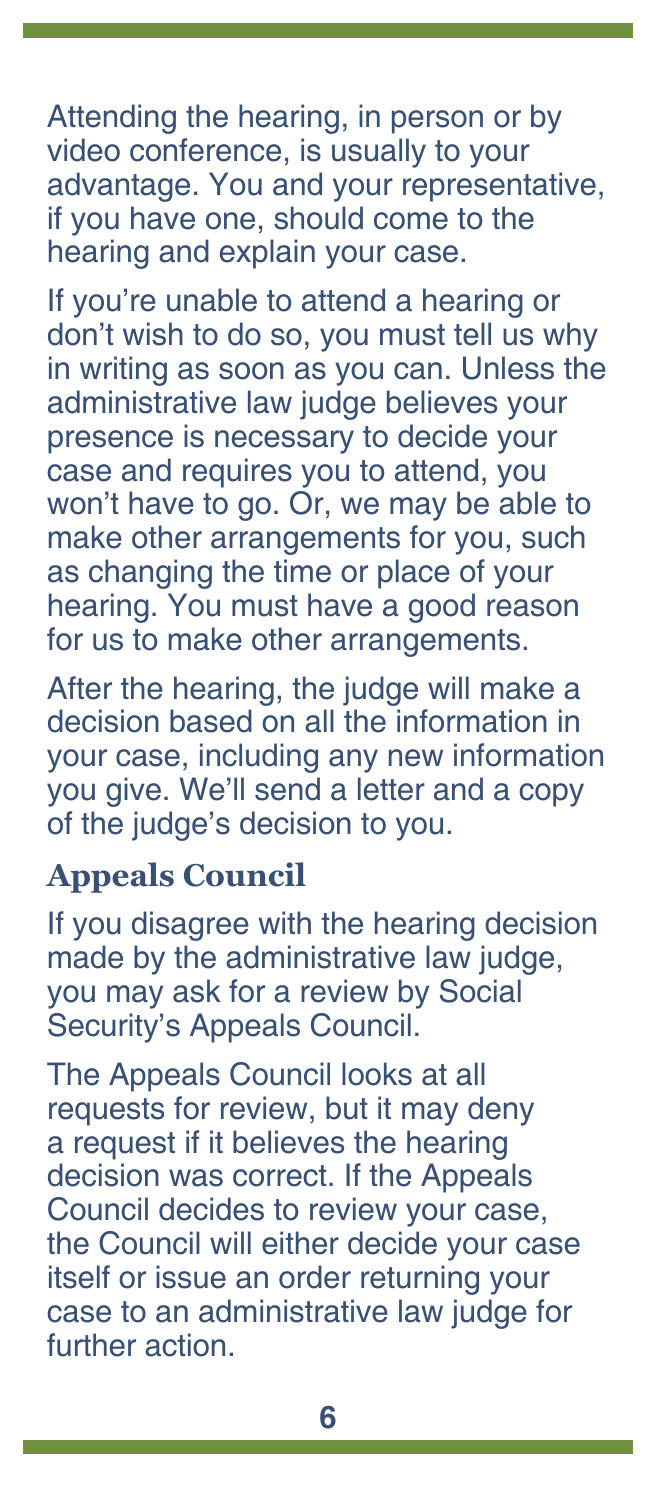Attending the hearing, in person or by video conference, is usually to your advantage. You and your representative, if you have one, should come to the hearing and explain your case.

If you're unable to attend a hearing or don't wish to do so, you must tell us why in writing as soon as you can. Unless the administrative law judge believes your presence is necessary to decide your case and requires you to attend, you won't have to go. Or, we may be able to make other arrangements for you, such as changing the time or place of your hearing. You must have a good reason for us to make other arrangements.

After the hearing, the judge will make a decision based on all the information in your case, including any new information you give. We'll send a letter and a copy of the judge's decision to you.

#### <span id="page-6-0"></span>**Appeals Council**

If you disagree with the hearing decision made by the administrative law judge, you may ask for a review by Social Security's Appeals Council.

The Appeals Council looks at all requests for review, but it may deny a request if it believes the hearing decision was correct. If the Appeals Council decides to review your case, the Council will either decide your case itself or issue an order returning your case to an administrative law judge for further action.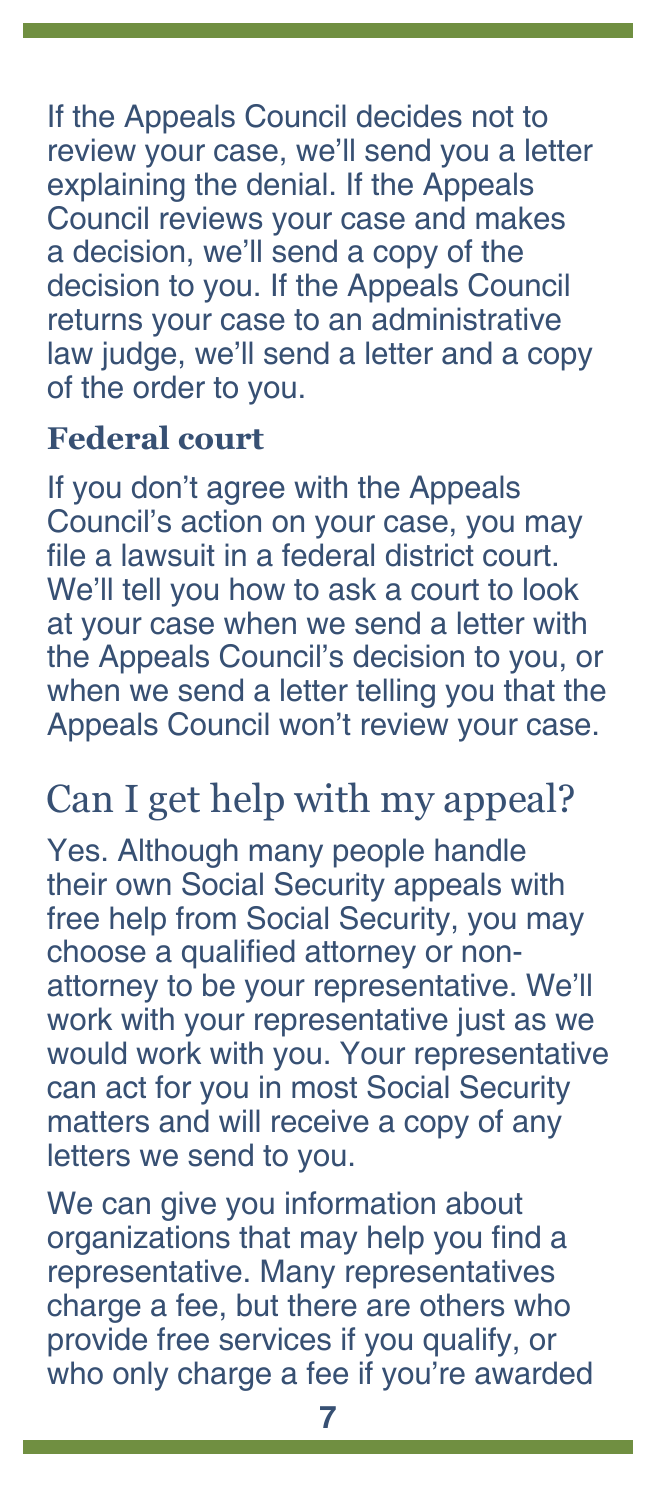If the Appeals Council decides not to review your case, we'll send you a letter explaining the denial. If the Appeals Council reviews your case and makes a decision, we'll send a copy of the decision to you. If the Appeals Council returns your case to an administrative law judge, we'll send a letter and a copy of the order to you.

## **Federal court**

If you don't agree with the Appeals Council's action on your case, you may file a lawsuit in a federal district court. We'll tell you how to ask a court to look at your case when we send a letter with the Appeals Council's decision to you, or when we send a letter telling you that the Appeals Council won't review your case.

# Can I get help with my appeal?

Yes. Although many people handle their own Social Security appeals with free help from Social Security, you may choose a qualified attorney or nonattorney to be your representative. We'll work with your representative just as we would work with you. Your representative can act for you in most Social Security matters and will receive a copy of any letters we send to you.

We can give you information about organizations that may help you find a representative. Many representatives charge a fee, but there are others who provide free services if you qualify, or who only charge a fee if you're awarded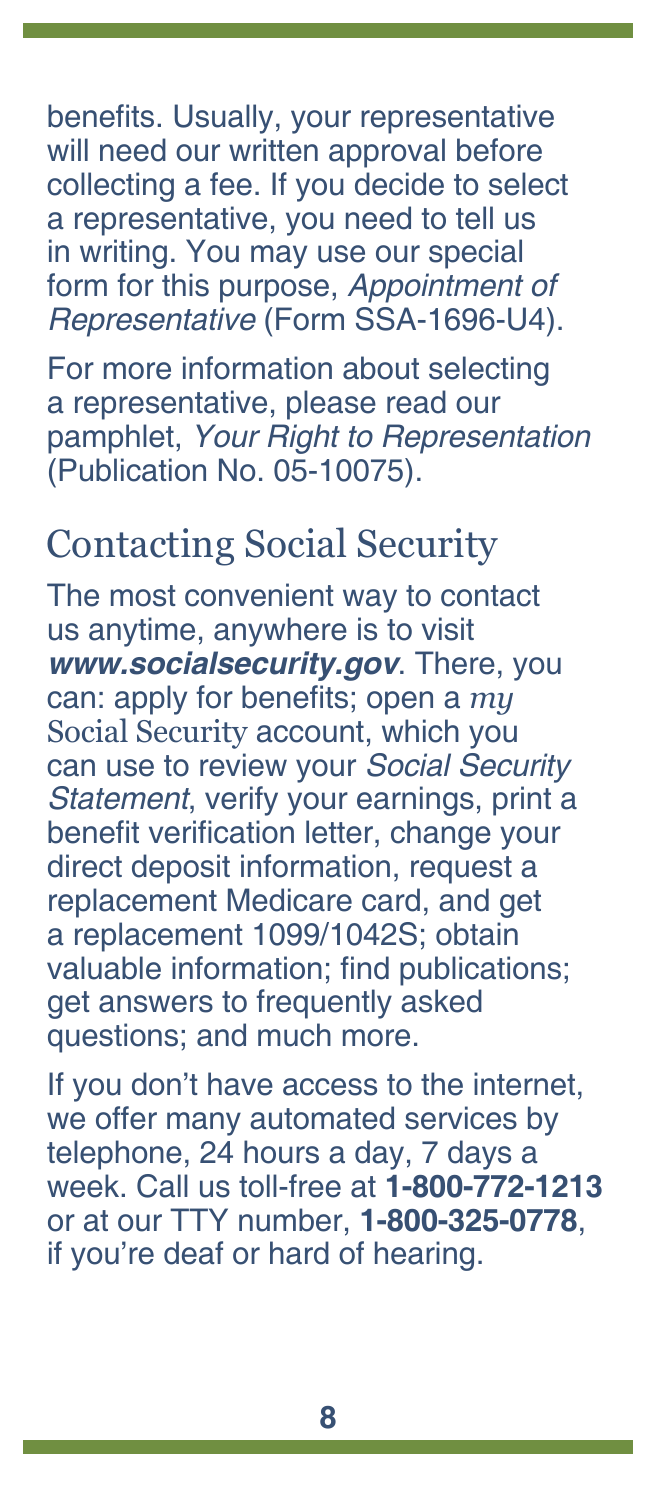benefits. Usually, your representative will need our written approval before collecting a fee. If you decide to select a representative, you need to tell us in writing. You may use our special form for this purpose, *[Appointment of](https://www.ssa.gov/forms/ssa-1696.pdf)  Representative* [\(Form SSA-1696-U4\)](https://www.ssa.gov/forms/ssa-1696.pdf).

For more information about selecting a representative, please read our pamphlet, *[Your Right to Representation](https://www.ssa.gov/pubs/EN-05-10075.pdf)* [\(Publication No. 05-10075\)](https://www.ssa.gov/pubs/EN-05-10075.pdf).

# Contacting Social Security

The most convenient way to contact us anytime, anywhere is to visit *[www.socialsecurity.gov](http://www.ssa.gov)*. There, you can: apply for benefits; open a *[my](http://www.ssa.gov/myaccount)* [Social Security](http://www.ssa.gov/myaccount) account, which you can use to review your *[Social Security](https://www.ssa.gov/myaccount/statement.html)  [Statement](https://www.ssa.gov/myaccount/statement.html)*, verify your earnings, print a benefit verification letter, change your direct deposit information, request a replacement Medicare card, and get a replacement 1099/1042S; obtain valuable information; [find publications;](https://www.socialsecurity.gov/pubs/) [get answers to frequently asked](https://faq.ssa.gov/)  [questions](https://faq.ssa.gov/); and much more.

If you don't have access to the internet, we offer many automated services by telephone, 24 hours a day, 7 days a week. Call us toll-free at **1-800-772-1213** or at our TTY number, **1-800-325-0778**, if you're deaf or hard of hearing.